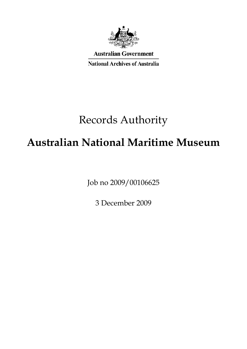

**Australian Government** 

**National Archives of Australia** 

# Records Authority

# **Australian National Maritime Museum**

Job no 2009/00106625

3 December 2009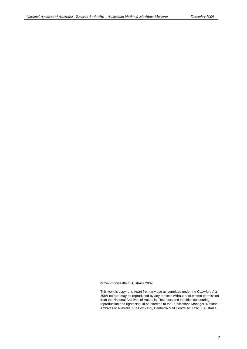© Commonwealth of Australia 2009

This work is copyright. Apart from any use as permitted under the *Copyright Act 1968,* no part may be reproduced by any process without prior written permission from the National Archives of Australia. Requests and inquiries concerning reproduction and rights should be directed to the Publications Manager, National Archives of Australia, PO Box 7425, Canberra Mail Centre ACT 2610, Australia.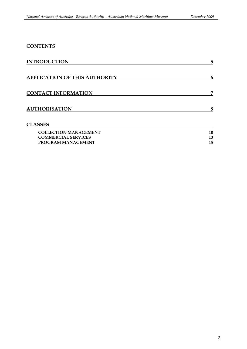## **CONTENTS**

| <b>INTRODUCTION</b>                  | 5  |
|--------------------------------------|----|
| <b>APPLICATION OF THIS AUTHORITY</b> | 6  |
| <b>CONTACT INFORMATION</b>           | 7  |
| <b>AUTHORISATION</b>                 | 8  |
| <b>CLASSES</b>                       |    |
| <b>COLLECTION MANAGEMENT</b>         | 10 |
| <b>COMMERCIAL SERVICES</b>           | 13 |
| PROGRAM MANAGEMENT                   | 15 |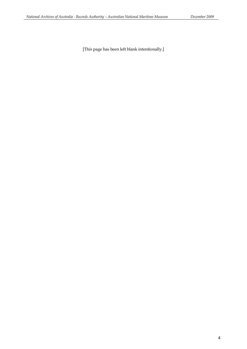[This page has been left blank intentionally.]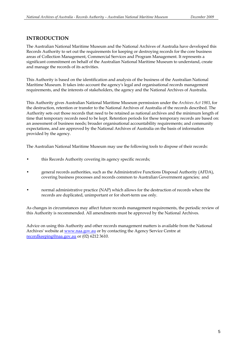### **INTRODUCTION**

The Australian National Maritime Museum and the National Archives of Australia have developed this Records Authority to set out the requirements for keeping or destroying records for the core business areas of Collection Management, Commercial Services and Program Management. It represents a significant commitment on behalf of the Australian National Maritime Museum to understand, create and manage the records of its activities.

This Authority is based on the identification and analysis of the business of the Australian National Maritime Museum. It takes into account the agency's legal and organisational records management requirements, and the interests of stakeholders, the agency and the National Archives of Australia.

This Authority gives Australian National Maritime Museum permission under the *Archives Act 1983*, for the destruction, retention or transfer to the National Archives of Australia of the records described. The Authority sets out those records that need to be retained as national archives and the minimum length of time that temporary records need to be kept. Retention periods for these temporary records are based on: an assessment of business needs; broader organisational accountability requirements; and community expectations, and are approved by the National Archives of Australia on the basis of information provided by the agency.

The Australian National Maritime Museum may use the following tools to dispose of their records:

- this Records Authority covering its agency specific records;
- general records authorities, such as the Administrative Functions Disposal Authority (AFDA), covering business processes and records common to Australian Government agencies; and
- normal administrative practice (NAP) which allows for the destruction of records where the records are duplicated, unimportant or for short-term use only.

As changes in circumstances may affect future records management requirements, the periodic review of this Authority is recommended. All amendments must be approved by the National Archives.

Advice on using this Authority and other records management matters is available from the National Archives' website at www.naa.gov.au or by contacting the Agency Service Centre at recordkeeping@naa.gov.au or (02) 6212 3610.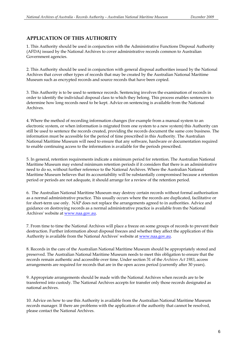### **APPLICATION OF THIS AUTHORITY**

1. This Authority should be used in conjunction with the Administrative Functions Disposal Authority (AFDA) issued by the National Archives to cover administrative records common to Australian Government agencies.

2. This Authority should be used in conjunction with general disposal authorities issued by the National Archives that cover other types of records that may be created by the Australian National Maritime Museum such as encrypted records and source records that have been copied.

3. This Authority is to be used to sentence records. Sentencing involves the examination of records in order to identify the individual disposal class to which they belong. This process enables sentencers to determine how long records need to be kept. Advice on sentencing is available from the National Archives.

4. Where the method of recording information changes (for example from a manual system to an electronic system, or when information is migrated from one system to a new system) this Authority can still be used to sentence the records created, providing the records document the same core business. The information must be accessible for the period of time prescribed in this Authority. The Australian National Maritime Museum will need to ensure that any software, hardware or documentation required to enable continuing access to the information is available for the periods prescribed.

5. In general, retention requirements indicate a minimum period for retention. The Australian National Maritime Museum may extend minimum retention periods if it considers that there is an administrative need to do so, without further reference to the National Archives. Where the Australian National Maritime Museum believes that its accountability will be substantially compromised because a retention period or periods are not adequate, it should arrange for a review of the retention period.

6. The Australian National Maritime Museum may destroy certain records without formal authorisation as a normal administrative practice. This usually occurs where the records are duplicated, facilitative or for short-term use only. NAP does not replace the arrangements agreed to in authorities. Advice and guidance on destroying records as a normal administrative practice is available from the National Archives' website at www.naa.gov.au.

7. From time to time the National Archives will place a freeze on some groups of records to prevent their destruction. Further information about disposal freezes and whether they affect the application of this Authority is available from the National Archives' website at www.naa.gov.au.

8. Records in the care of the Australian National Maritime Museum should be appropriately stored and preserved. The Australian National Maritime Museum needs to meet this obligation to ensure that the records remain authentic and accessible over time. Under section 31 of the *Archives Act 1983*, access arrangements are required for records that are in the open access period (currently after 30 years).

9. Appropriate arrangements should be made with the National Archives when records are to be transferred into custody. The National Archives accepts for transfer only those records designated as national archives.

10. Advice on how to use this Authority is available from the Australian National Maritime Museum records manager. If there are problems with the application of the authority that cannot be resolved, please contact the National Archives.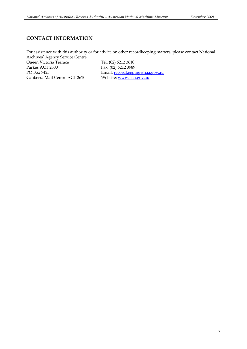### **CONTACT INFORMATION**

For assistance with this authority or for advice on other recordkeeping matters, please contact National Archives' Agency Service Centre.

Queen Victoria Terrace Tel: (02) 6212 3610<br>Parkes ACT 2600 Fax: (02) 6212 3989 Parkes ACT 2600 Fax: (02) 6212 3989<br>PO Box 7425 Email: recordkeepi Canberra Mail Centre ACT 2610

Email: recordkeeping@naa.gov.au<br>Website: www.naa.gov.au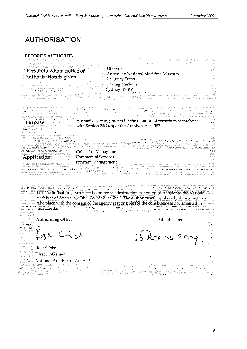## **AUTHORISATION**

**RECORDS AUTHORITY** 

**Person to whom notice of authorisation is given: Director**  Australian National Maritime Museum 2 Murray Street **Purpose:**  Darling Harbour Sydney NSW Authorises arrangements for the disposal of records in accordance with Section 24(2)(b) of the Archives Act 1983

**Application:** 

Collection Management **Commercial Services**  Program Management

This authorisation gives *permission* for the destruction, retention or transfer to the National Archives of Australia of the records described. The authority will apply only if these actions take place with the consent of the agency responsible for the core business documented in the records.

Authorising Officer

list

December 2009

Date **of** issue:

Ross Gibbs Director-General National Archives of Australia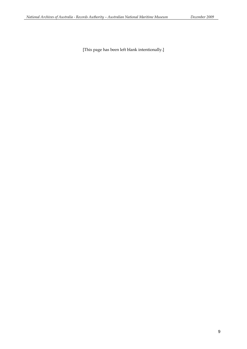[This page has been left blank intentionally.]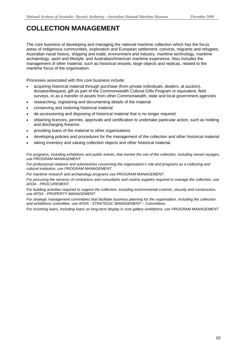## **COLLECTION MANAGEMENT**

The core business of developing and managing the national maritime collection which has the focus areas of indigenous communities, exploration and European settlement, convicts, migrants and refugees, Australian naval history, shipping and trade, environment and industry, maritime technology, maritime archaeology, sport and lifestyle, and Australian/American maritime experience. Also includes the management of other material, such as historical vessels, large objects and replicas, related to the maritime focus of the organisation.

Processes associated with this core business include:

- acquiring historical material through purchase (from private individuals, dealers, at auction), donation/bequest, gift as part of the Commonwealth Cultural Gifts Program or equivalent, field surveys, or as a transfer of assets from other Commonwealth, state and local government agencies
- researching, registering and documenting details of the material
- conserving and restoring historical material
- de-accessioning and disposing of historical material that is no longer required
- obtaining licences, permits, approvals and certification to undertake particular action, such as holding and discharging firearms
- providing loans of the material to other organisations
- developing policies and procedures for the management of the collection and other historical material
- taking inventory and valuing collection objects and other historical material.

*For programs, including exhibitions and public events, that involve the use of the collection, including vessel voyages, use PROGRAM MANAGEMENT.* 

*For professional relations and submissions concerning the organisation's role and programs as a collecting and cultural institution, use PROGRAM MANAGEMENT.* 

*For maritime research and archaeology programs use PROGRAM MANAGEMENT.* 

*For procuring the services of contractors and consultants and routine supplies required to manage the collection, use AFDA - PROCUREMENT.* 

*For building activities required to support the collection, including environmental controls, security and construction, use AFDA - PROPERTY MANAGEMENT.* 

*For strategic management committees that facilitate business planning for the organisation, including the collection and exhibitions committee, use AFDA - STRATEGIC MANAGEMENT – Committees.* 

*For incoming loans, including loans on long-term display in core gallery exhibitions, use PROGRAM MANAGEMENT.*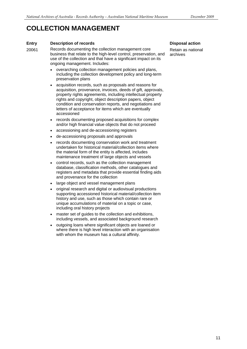## **COLLECTION MANAGEMENT**

### **Entry** Description of records Disposal action **Disposal action**

20061 Records documenting the collection management core business that relate to the high-level control, preservation, and use of the collection and that have a significant impact on its ongoing management. Includes:

- overarching collection management policies and plans, including the collection development policy and long-term preservation plans
- acquisition records, such as proposals and reasons for acquisition, provenance, invoices, deeds of gift, approvals, property rights agreements, including intellectual property rights and copyright, object description papers, object condition and conservation reports, and negotiations and letters of acceptance for items which are eventually accessioned
- records documenting proposed acquisitions for complex and/or high financial value objects that do not proceed
- accessioning and de-accessioning registers
- de-accessioning proposals and approvals
- records documenting conservation work and treatment undertaken for historical material/collection items where the material form of the entity is affected, includes maintenance treatment of large objects and vessels
- control records, such as the collection management database, classification methods, other catalogues and registers and metadata that provide essential finding aids and provenance for the collection
- large object and vessel management plans
- original research and digital or audiovisual productions supporting accessioned historical material/collection item history and use, such as those which contain rare or unique accumulations of material on a topic or case, including oral history projects
- master set of guides to the collection and exhibitions, including vessels, and associated background research
- outgoing loans where significant objects are loaned or where there is high level interaction with an organisation with whom the museum has a cultural affinity.

Retain as national archives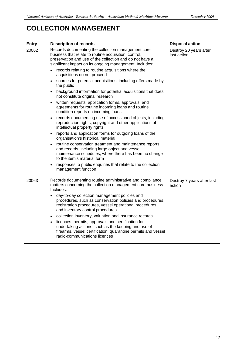## **COLLECTION MANAGEMENT**

#### **Entry Description of records Disposal action Disposal action**

20062 Records documenting the collection management core business that relate to routine acquisition, control, preservation and use of the collection and do not have a significant impact on its ongoing management. Includes:

- records relating to routine acquisitions where the acquisitions do not proceed
- sources for potential acquisitions, including offers made by the public
- background information for potential acquisitions that does not constitute original research
- written requests, application forms, approvals, and agreements for routine incoming loans and routine condition reports on incoming loans
- records documenting use of accessioned objects, including reproduction rights, copyright and other applications of intellectual property rights
- reports and application forms for outgoing loans of the organisation's historical material
- routine conservation treatment and maintenance reports and records, including large object and vessel maintenance schedules, where there has been no change to the item's material form
- responses to public enquiries that relate to the collection management function

20063 Records documenting routine administrative and compliance matters concerning the collection management core business. Includes:

- day-to-day collection management policies and procedures, such as conservation policies and procedures, registration procedures, vessel operational procedures, and inventory control procedures
- collection inventory, valuation and insurance records
- licences, permits, approvals and certification for undertaking actions, such as the keeping and use of firearms, vessel certification, quarantine permits and vessel radio-communications licences

Destroy 20 years after last action

Destroy 7 years after last

action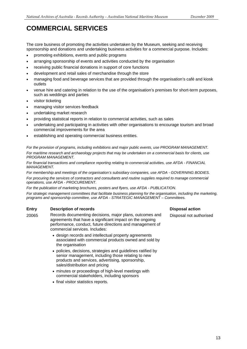## **COMMERCIAL SERVICES**

The core business of promoting the activities undertaken by the Museum, seeking and receiving sponsorship and donations and undertaking business activities for a commercial purpose. Includes:

- promoting exhibitions, events and public programs
- arranging sponsorship of events and activities conducted by the organisation
- receiving public financial donations in support of core functions
- development and retail sales of merchandise through the store
- managing food and beverage services that are provided through the organisation's café and kiosk outlets
- venue hire and catering in relation to the use of the organisation's premises for short-term purposes, such as weddings and parties
- visitor ticketing
- managing visitor services feedback
- undertaking market research
- providing statistical reports in relation to commercial activities, such as sales
- undertaking and participating in activities with other organisations to encourage tourism and broad commercial improvements for the area
- establishing and operating commercial business entities.

*For the provision of programs, including exhibitions and major public events, use PROGRAM MANAGEMENT. For maritime research and archaeology projects that may be undertaken on a commercial basis for clients, use PROGRAM MANAGEMENT.* 

*For financial transactions and compliance reporting relating to commercial activities, use AFDA - FINANCIAL MANAGEMENT.* 

*For membership and meetings of the organisation's subsidiary companies, use AFDA - GOVERNING BODIES. For procuring the services of contractors and consultants and routine supplies required to manage commercial operations, use AFDA - PROCUREMENT.* 

*For the publication of marketing brochures, posters and flyers, use AFDA - PUBLICATION. For strategic management committees that facilitate business planning for the organisation, including the marketing,* 

*programs and sponsorship committee, use AFDA - STRATEGIC MANAGEMENT – Committees.* 

### **Entry** Description of records Disposal action **Disposal action**

- 20065 Records documenting decisions, major plans, outcomes and agreements that have a significant impact on the ongoing performance, conduct, future directions and management of commercial services. Includes:
	- design records and intellectual property agreements associated with commercial products owned and sold by the organisation
	- policies, decisions, strategies and guidelines ratified by senior management, including those relating to new products and services, advertising, sponsorship, sales/distribution and pricing
	- minutes or proceedings of high-level meetings with commercial stakeholders, including sponsors
	- final visitor statistics reports.

Disposal not authorised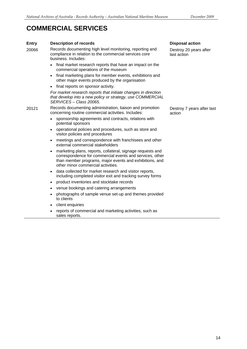## **COMMERCIAL SERVICES**

### **Entry Description of records Disposal action Disposal action**

20066 Records documenting high level monitoring, reporting and compliance in relation to the commercial services core business. Includes:

- final market research reports that have an impact on the commercial operations of the museum
- final marketing plans for member events, exhibitions and other major events produced by the organisation
- final reports on sponsor activity.

*For market research reports that initiate changes in direction that develop into a new policy or strategy, use COMMERCIAL SERVICES – Class 20065.* 

20121 Records documenting administration, liaison and promotion concerning routine commercial activities. Includes:

- sponsorship agreements and contracts, relations with potential sponsors
- operational policies and procedures, such as store and visitor policies and procedures
- meetings and correspondence with franchisees and other external commercial stakeholders
- marketing plans, reports, collateral, signage requests and correspondence for commercial events and services, other than member programs, major events and exhibitions, and other minor commercial activities.
- data collected for market research and visitor reports, including completed visitor exit and tracking survey forms
- product inventories and stocktake records
- venue bookings and catering arrangements
- photographs of sample venue set-up and themes provided to clients
- client enquiries
- reports of commercial and marketing activities, such as sales reports.

Destroy 20 years after last action

Destroy 7 years after last action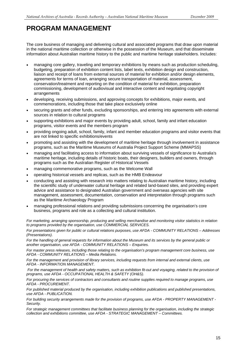The core business of managing and delivering cultural and associated programs that draw upon material in the national maritime collection or otherwise in the possession of the Museum, and that disseminate information about Australian maritime history to the public and maritime heritage stakeholders. Includes:

- managing core gallery, traveling and temporary exhibitions by means such as production scheduling, budgeting, preparation of exhibition content lists, label texts, exhibition design and construction, liaison and receipt of loans from external sources of material for exhibition and/or design elements, agreements for terms of loan, arranging secure transportation of material, assessment, conservation/treatment and reporting on the condition of material for exhibition, preparation commissioning, development of audiovisual and interactive content and negotiating copyright arrangements
- developing, receiving submissions, and approving concepts for exhibitions, major events, and commemorations, including those that take place exclusively online
- securing grants and other funds, excluding sponsorships, and entering into agreements with external sources in relation to cultural programs
- supporting exhibitions and major events by providing adult, school, family and infant education programs, visitor events and the members program
- providing ongoing adult, school, family, infant and member education programs and visitor events that are not linked to specific exhibitions/events
- promoting and assisting with the development of maritime heritage through involvement in assistance programs, such as the Maritime Museums of Australia Project Support Scheme (MMAPSS)
- managing and facilitating access to information about surviving vessels of significance to Australia's maritime heritage, including details of historic boats, their designers, builders and owners, through programs such as the Australian Register of Historical Vessels
- managing commemorative programs, such as the Welcome Wall
- operating historical vessels and replicas, such as the HMB Endeavour
- conducting and assisting with research into matters relating to Australian maritime history, including the scientific study of underwater cultural heritage and related land-based sites, and providing expert advice and assistance to designated Australian government and overseas agencies with site management, assessment, documentation, conservation and interpretation through programs such as the Maritime Archaeology Program
- managing professional relations and providing submissions concerning the organisation's core business, programs and role as a collecting and cultural institution.

*For marketing, arranging sponsorship, producing and selling merchandise and monitoring visitor statistics in relation to programs provided by the organisation, use COMMERCIAL SERVICES.* 

*For presentations given for public or cultural relations purposes, use AFDA - COMMUNITY RELATIONS – Addresses (Presentations).* 

*For the handling of general requests for information about the Museum and its services by the general public or another organisation, use AFDA - COMMUNITY RELATIONS – Enquiries.* 

*For master press releases, including those relating to the organisation's program management core business, use AFDA - COMMUNITY RELATIONS – Media Relations.* 

*For the management and provision of library services, including requests from internal and external clients, use AFDA - INFORMATION MANAGEMENT.* 

 *For the management of health and safety matters, such as exhibition fit-out and voyaging, related to the provision of programs, use AFDA - OCCUPATIONAL HEALTH & SAFETY (OH&S).* 

*For procuring the services of contractors and consultants and routine supplies required to manage programs, use AFDA - PROCUREMENT.* 

*For published material produced by the organisation, including exhibition publications and published presentations, use AFDA - PUBLICATION.* 

*For building security arrangements made for the provision of programs, use AFDA - PROPERTY MANAGEMENT - Security.* 

*For strategic management committees that facilitate business planning for the organisation, including the strategic collection and exhibitions committee, use AFDA - STRATEGIC MANAGEMENT – Committees.*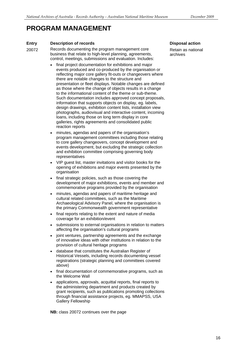### **Entry** Description of records Disposal action **Disposal action**

20072 Records documenting the program management core business that relate to high-level planning, agreements, control, meetings, submissions and evaluation. Includes:

- final project documentation for exhibitions and major events produced and co-produced by the organisation or reflecting major core gallery fit-outs or changeovers where there are notable changes to the structure and presentation or fleet displays. Notable changes are defined as those where the change of objects results in a change to the informational content of the theme or sub-theme. Such documentation includes approved concept proposals, information that supports objects on display, eg. labels, design drawings, exhibition content lists, installation view photographs, audiovisual and interactive content, incoming loans, including those on long term display in core galleries, rights agreements and consolidated public reaction reports
- minutes, agendas and papers of the organisation's program management committees including those relating to core gallery changeovers, concept development and events development, but excluding the strategic collection and exhibition committee comprising governing body representatives
- VIP guest list, master invitations and visitor books for the opening of exhibitions and major events presented by the organisation
- final strategic policies, such as those covering the development of major exhibitions, events and member and commemorative programs provided by the organisation
- minutes, agendas and papers of maritime heritage and cultural related committees, such as the Maritime Archaeological Advisory Panel, where the organisation is the primary Commonwealth government representative
- final reports relating to the extent and nature of media coverage for an exhibition/event
- submissions to external organisations in relation to matters affecting the organisation's cultural programs
- joint ventures, partnership agreements and the exchange of innovative ideas with other institutions in relation to the provision of cultural heritage programs
- database that constitutes the Australian Register of Historical Vessels, including records documenting vessel registrations (strategic planning and committees covered above)
- final documentation of commemorative programs, such as the Welcome Wall
- applications, approvals, acquittal reports, final reports to the administering department and products created by grant recipients, such as publications promoting collections through financial assistance projects, eg. MMAPSS, USA Gallery Fellowship

**NB:** class 20072 continues over the page

Retain as national archives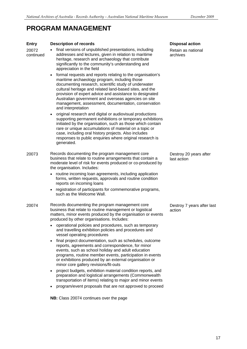#### **Entry Description of records Disposal action Disposal action**

20072

continued

- final versions of unpublished presentations, including addresses and lectures, given in relation to maritime heritage, research and archaeology that contribute significantly to the community's understanding and appreciation in the field
- formal requests and reports relating to the organisation's maritime archaeology program, including those documenting research, scientific study of underwater cultural heritage and related land-based sites, and the provision of expert advice and assistance to designated Australian government and overseas agencies on site management, assessment, documentation, conservation and interpretation
- original research and digital or audiovisual productions supporting permanent exhibitions or temporary exhibitions initiated by the organisation, such as those which contain rare or unique accumulations of material on a topic or case, including oral history projects. Also includes responses to public enquiries where original research is generated.
- 20073 Records documenting the program management core business that relate to routine arrangements that contain a moderate level of risk for events produced or co-produced by the organisation. Includes:
	- routine incoming loan agreements, including application forms, written requests, approvals and routine condition reports on incoming loans
	- registration of participants for commemorative programs, such as the Welcome Wall.
- 20074 Records documenting the program management core business that relate to routine management or logistical matters, minor events produced by the organisation or events produced by other organisations. Includes:
	- operational policies and procedures, such as temporary and travelling exhibition policies and procedures and vessel operating procedures
	- final project documentation, such as schedules, outcome reports, agreements and correspondence, for minor events, such as school holiday and adult education programs, routine member events, participation in events or exhibitions produced by an external organisation or minor core gallery revisions/fit-outs
	- project budgets, exhibition material condition reports, and preparation and logistical arrangements (Commonwealth transportation of items) relating to major and minor events
	- program/event proposals that are not approved to proceed

**NB:** Class 20074 continues over the page

Retain as national archives

Destroy 20 years after last action

Destroy 7 years after last action